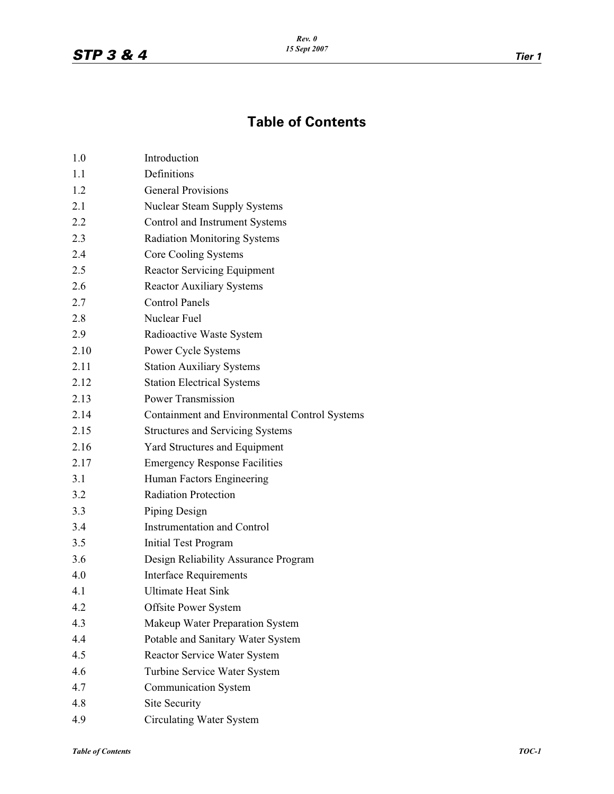## **Table of Contents**

| 1.0  | Introduction                                  |
|------|-----------------------------------------------|
| 1.1  | Definitions                                   |
| 1.2  | <b>General Provisions</b>                     |
| 2.1  | <b>Nuclear Steam Supply Systems</b>           |
| 2.2  | Control and Instrument Systems                |
| 2.3  | <b>Radiation Monitoring Systems</b>           |
| 2.4  | Core Cooling Systems                          |
| 2.5  | <b>Reactor Servicing Equipment</b>            |
| 2.6  | <b>Reactor Auxiliary Systems</b>              |
| 2.7  | <b>Control Panels</b>                         |
| 2.8  | Nuclear Fuel                                  |
| 2.9  | Radioactive Waste System                      |
| 2.10 | Power Cycle Systems                           |
| 2.11 | <b>Station Auxiliary Systems</b>              |
| 2.12 | <b>Station Electrical Systems</b>             |
| 2.13 | <b>Power Transmission</b>                     |
| 2.14 | Containment and Environmental Control Systems |
| 2.15 | <b>Structures and Servicing Systems</b>       |
| 2.16 | <b>Yard Structures and Equipment</b>          |
| 2.17 | <b>Emergency Response Facilities</b>          |
| 3.1  | Human Factors Engineering                     |
| 3.2  | <b>Radiation Protection</b>                   |
| 3.3  | Piping Design                                 |
| 3.4  | <b>Instrumentation and Control</b>            |
| 3.5  | Initial Test Program                          |
| 3.6  | Design Reliability Assurance Program          |
| 4.0  | <b>Interface Requirements</b>                 |
| 4.1  | <b>Ultimate Heat Sink</b>                     |
| 4.2  | <b>Offsite Power System</b>                   |
| 4.3  | Makeup Water Preparation System               |
| 4.4  | Potable and Sanitary Water System             |
| 4.5  | Reactor Service Water System                  |
| 4.6  | Turbine Service Water System                  |
| 4.7  | <b>Communication System</b>                   |
| 4.8  | Site Security                                 |
| 4.9  | <b>Circulating Water System</b>               |